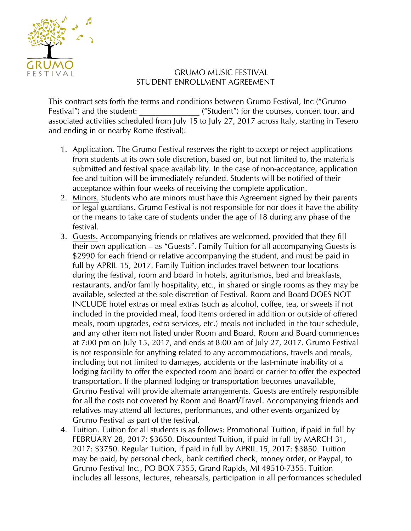

## GRUMO MUSIC FESTIVAL STUDENT ENROLLMENT AGREEMENT

This contract sets forth the terms and conditions between Grumo Festival, Inc ("Grumo Festival") and the student:  $($ "Student") for the courses, concert tour, and associated activities scheduled from July 15 to July 27, 2017 across Italy, starting in Tesero and ending in or nearby Rome (festival):

- 1. Application. The Grumo Festival reserves the right to accept or reject applications from students at its own sole discretion, based on, but not limited to, the materials submitted and festival space availability. In the case of non-acceptance, application fee and tuition will be immediately refunded. Students will be notified of their acceptance within four weeks of receiving the complete application.
- 2. Minors. Students who are minors must have this Agreement signed by their parents or legal guardians. Grumo Festival is not responsible for nor does it have the ability or the means to take care of students under the age of 18 during any phase of the festival.
- 3. Guests. Accompanying friends or relatives are welcomed, provided that they fill their own application – as "Guests". Family Tuition for all accompanying Guests is \$2990 for each friend or relative accompanying the student, and must be paid in full by APRIL 15, 2017. Family Tuition includes travel between tour locations during the festival, room and board in hotels, agriturismos, bed and breakfasts, restaurants, and/or family hospitality, etc., in shared or single rooms as they may be available, selected at the sole discretion of Festival. Room and Board DOES NOT INCLUDE hotel extras or meal extras (such as alcohol, coffee, tea, or sweets if not included in the provided meal, food items ordered in addition or outside of offered meals, room upgrades, extra services, etc.) meals not included in the tour schedule, and any other item not listed under Room and Board. Room and Board commences at 7:00 pm on July 15, 2017, and ends at 8:00 am of July 27, 2017. Grumo Festival is not responsible for anything related to any accommodations, travels and meals, including but not limited to damages, accidents or the last-minute inability of a lodging facility to offer the expected room and board or carrier to offer the expected transportation. If the planned lodging or transportation becomes unavailable, Grumo Festival will provide alternate arrangements. Guests are entirely responsible for all the costs not covered by Room and Board/Travel. Accompanying friends and relatives may attend all lectures, performances, and other events organized by Grumo Festival as part of the festival.
- 4. Tuition. Tuition for all students is as follows: Promotional Tuition, if paid in full by FEBRUARY 28, 2017: \$3650. Discounted Tuition, if paid in full by MARCH 31, 2017: \$3750. Regular Tuition, if paid in full by APRIL 15, 2017: \$3850. Tuition may be paid, by personal check, bank certified check, money order, or Paypal, to Grumo Festival Inc., PO BOX 7355, Grand Rapids, MI 49510-7355. Tuition includes all lessons, lectures, rehearsals, participation in all performances scheduled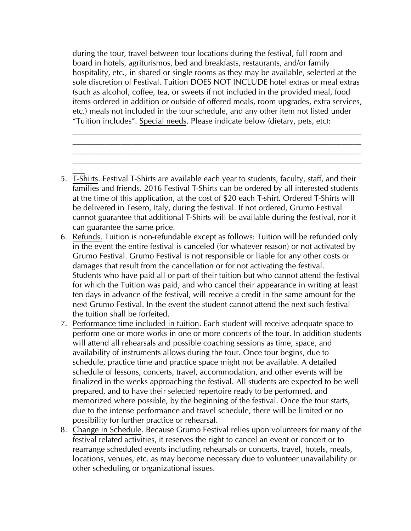during the tour, travel between tour locations during the festival, full room and board in hotels, agriturismos, bed and breakfasts, restaurants, and/or family hospitality, etc., in shared or single rooms as they may be available, selected at the sole discretion of Festival. Tuition DOES NOT INCLUDE hotel extras or meal extras (such as alcohol, coffee, tea, or sweets if not included in the provided meal, food items ordered in addition or outside of offered meals, room upgrades, extra services, etc.) meals not included in the tour schedule, and any other item not listed under "Tuition includes". Special needs. Please indicate below (dietary, pets, etc):

 $\mathcal{L}_\text{max} = \mathcal{L}_\text{max} = \mathcal{L}_\text{max} = \mathcal{L}_\text{max} = \mathcal{L}_\text{max} = \mathcal{L}_\text{max} = \mathcal{L}_\text{max} = \mathcal{L}_\text{max} = \mathcal{L}_\text{max} = \mathcal{L}_\text{max} = \mathcal{L}_\text{max} = \mathcal{L}_\text{max} = \mathcal{L}_\text{max} = \mathcal{L}_\text{max} = \mathcal{L}_\text{max} = \mathcal{L}_\text{max} = \mathcal{L}_\text{max} = \mathcal{L}_\text{max} = \mathcal{$ 

- 5. T-Shirts. Festival T-Shirts are available each year to students, faculty, staff, and their families and friends. 2016 Festival T-Shirts can be ordered by all interested students at the time of this application, at the cost of \$20 each T-shirt. Ordered T-Shirts will be delivered in Tesero, Italy, during the festival. If not ordered, Grumo Festival cannot guarantee that additional T-Shirts will be available during the festival, nor it can guarantee the same price.
- 6. Refunds. Tuition is non-refundable except as follows: Tuition will be refunded only in the event the entire festival is canceled (for whatever reason) or not activated by Grumo Festival. Grumo Festival is not responsible or liable for any other costs or damages that result from the cancellation or for not activating the festival. Students who have paid all or part of their tuition but who cannot attend the festival for which the Tuition was paid, and who cancel their appearance in writing at least ten days in advance of the festival, will receive a credit in the same amount for the next Grumo Festival. In the event the student cannot attend the next such festival the tuition shall be forfeited.
- 7. Performance time included in tuition. Each student will receive adequate space to perform one or more works in one or more concerts of the tour. In addition students will attend all rehearsals and possible coaching sessions as time, space, and availability of instruments allows during the tour. Once tour begins, due to schedule, practice time and practice space might not be available. A detailed schedule of lessons, concerts, travel, accommodation, and other events will be finalized in the weeks approaching the festival. All students are expected to be well prepared, and to have their selected repertoire ready to be performed, and memorized where possible, by the beginning of the festival. Once the tour starts, due to the intense performance and travel schedule, there will be limited or no possibility for further practice or rehearsal.
- 8. Change in Schedule. Because Grumo Festival relies upon volunteers for many of the festival related activities, it reserves the right to cancel an event or concert or to rearrange scheduled events including rehearsals or concerts, travel, hotels, meals, locations, venues, etc. as may become necessary due to volunteer unavailability or other scheduling or organizational issues.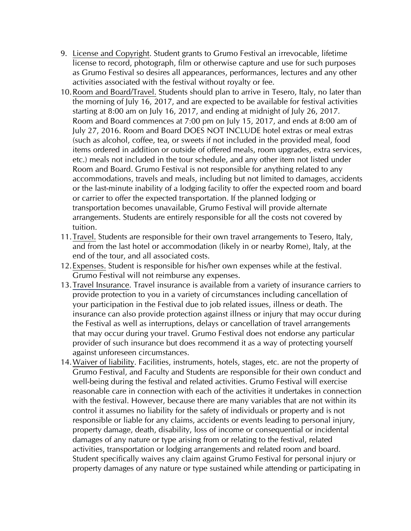- 9. License and Copyright. Student grants to Grumo Festival an irrevocable, lifetime license to record, photograph, film or otherwise capture and use for such purposes as Grumo Festival so desires all appearances, performances, lectures and any other activities associated with the festival without royalty or fee.
- 10.Room and Board/Travel. Students should plan to arrive in Tesero, Italy, no later than the morning of July 16, 2017, and are expected to be available for festival activities starting at 8:00 am on July 16, 2017, and ending at midnight of July 26, 2017. Room and Board commences at 7:00 pm on July 15, 2017, and ends at 8:00 am of July 27, 2016. Room and Board DOES NOT INCLUDE hotel extras or meal extras (such as alcohol, coffee, tea, or sweets if not included in the provided meal, food items ordered in addition or outside of offered meals, room upgrades, extra services, etc.) meals not included in the tour schedule, and any other item not listed under Room and Board. Grumo Festival is not responsible for anything related to any accommodations, travels and meals, including but not limited to damages, accidents or the last-minute inability of a lodging facility to offer the expected room and board or carrier to offer the expected transportation. If the planned lodging or transportation becomes unavailable, Grumo Festival will provide alternate arrangements. Students are entirely responsible for all the costs not covered by tuition.
- 11.Travel. Students are responsible for their own travel arrangements to Tesero, Italy, and from the last hotel or accommodation (likely in or nearby Rome), Italy, at the end of the tour, and all associated costs.
- 12.Expenses. Student is responsible for his/her own expenses while at the festival. Grumo Festival will not reimburse any expenses.
- 13.Travel Insurance. Travel insurance is available from a variety of insurance carriers to provide protection to you in a variety of circumstances including cancellation of your participation in the Festival due to job related issues, illness or death. The insurance can also provide protection against illness or injury that may occur during the Festival as well as interruptions, delays or cancellation of travel arrangements that may occur during your travel. Grumo Festival does not endorse any particular provider of such insurance but does recommend it as a way of protecting yourself against unforeseen circumstances.
- 14.Waiver of liability. Facilities, instruments, hotels, stages, etc. are not the property of Grumo Festival, and Faculty and Students are responsible for their own conduct and well-being during the festival and related activities. Grumo Festival will exercise reasonable care in connection with each of the activities it undertakes in connection with the festival. However, because there are many variables that are not within its control it assumes no liability for the safety of individuals or property and is not responsible or liable for any claims, accidents or events leading to personal injury, property damage, death, disability, loss of income or consequential or incidental damages of any nature or type arising from or relating to the festival, related activities, transportation or lodging arrangements and related room and board. Student specifically waives any claim against Grumo Festival for personal injury or property damages of any nature or type sustained while attending or participating in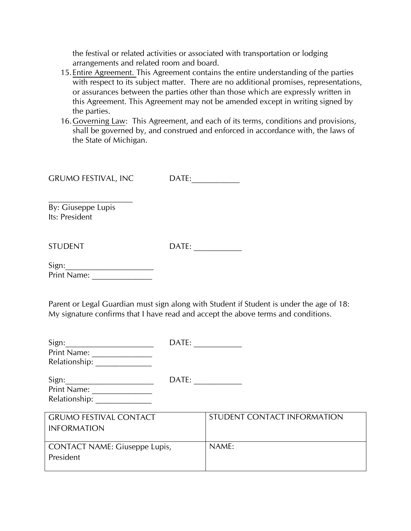the festival or related activities or associated with transportation or lodging arrangements and related room and board.

- 15.Entire Agreement. This Agreement contains the entire understanding of the parties with respect to its subject matter. There are no additional promises, representations, or assurances between the parties other than those which are expressly written in this Agreement. This Agreement may not be amended except in writing signed by the parties.
- 16.Governing Law: This Agreement, and each of its terms, conditions and provisions, shall be governed by, and construed and enforced in accordance with, the laws of the State of Michigan.

By: Giuseppe Lupis Its: President

STUDENT DATE: \_\_\_\_\_\_\_\_\_\_\_\_

 $Sign:$ Print Name:

Parent or Legal Guardian must sign along with Student if Student is under the age of 18: My signature confirms that I have read and accept the above terms and conditions.

| Sign:                                | DATE: |                             |
|--------------------------------------|-------|-----------------------------|
| Print Name:                          |       |                             |
| Relationship:                        |       |                             |
| Sign:                                | DATE: |                             |
| Print Name:                          |       |                             |
| Relationship:                        |       |                             |
|                                      |       |                             |
| <b>GRUMO FESTIVAL CONTACT</b>        |       | STUDENT CONTACT INFORMATION |
| <b>INFORMATION</b>                   |       |                             |
|                                      |       |                             |
| <b>CONTACT NAME: Giuseppe Lupis,</b> |       | NAME:                       |
| President                            |       |                             |
|                                      |       |                             |